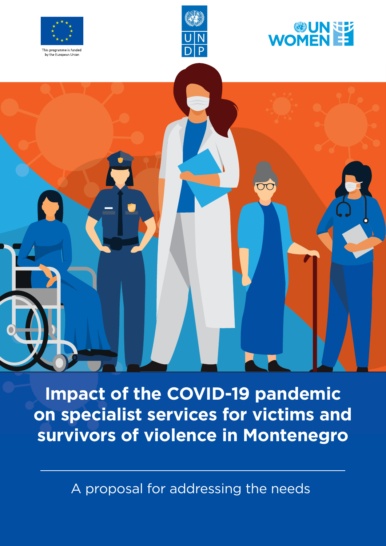







**Impact of the COVID-19 pandemic on specialist services for victims and survivors of violence in Montenegro**

A proposal for addressing the needs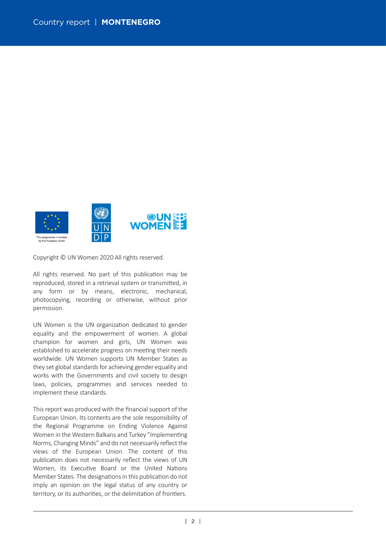

Copyright © UN Women 2020 All rights reserved.

All rights reserved. No part of this publication may be reproduced, stored in a retrieval system or transmitted, in any form or by means, electronic, mechanical, photocopying, recording or otherwise, without prior permission.

UN Women is the UN organization dedicated to gender equality and the empowerment of women. A global champion for women and girls, UN Women was established to accelerate progress on meeting their needs worldwide. UN Women supports UN Member States as they set global standards for achieving gender equality and works with the Governments and civil society to design laws, policies, programmes and services needed to implement these standards.

This report was produced with the financial support of the European Union. Its contents are the sole responsibility of the Regional Programme on Ending Violence Against Women in the Western Balkans and Turkey "Implementing Norms, Changing Minds" and do not necessarily reflect the views of the European Union. The content of this publication does not necessarily reflect the views of UN Women, its Executive Board or the United Nations Member States. The designations in this publication do not imply an opinion on the legal status of any country or territory, or its authorities, or the delimitation of frontiers.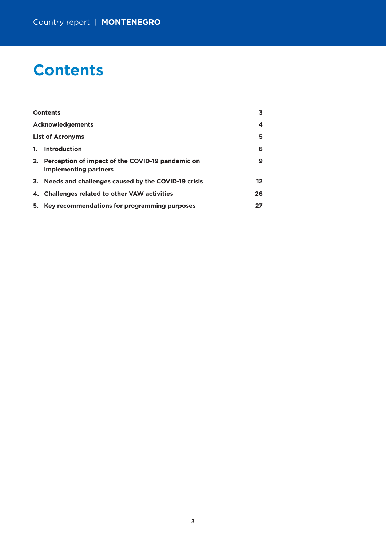# **Contents**

|    | <b>Contents</b>                                                              | 3.      |
|----|------------------------------------------------------------------------------|---------|
|    | <b>Acknowledgements</b>                                                      | 4       |
|    | <b>List of Acronyms</b>                                                      | 5       |
| 1. | Introduction                                                                 | 6       |
|    | 2. Perception of impact of the COVID-19 pandemic on<br>implementing partners | 9       |
|    | 3. Needs and challenges caused by the COVID-19 crisis                        | $12 \,$ |
|    | 4. Challenges related to other VAW activities                                | 26      |
|    | 5. Key recommendations for programming purposes                              | 27      |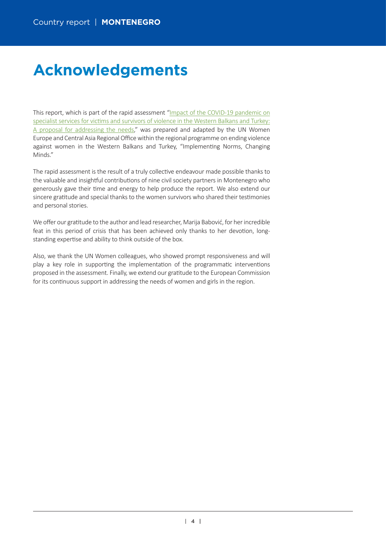# **Acknowledgements**

This report, which is part of the rapid assessment"[Impact of the COVID-19 pandemic on](https://eca.unwomen.org/en/digital-library/publications/2020/05/impact-of-the-covid-19-pandemic-on-specialist-services-for-victims-and-survivors-of-violence) specialist services for victims and survivors of violence in the Western Balkans and Turkey: [A proposal for addressing the needs,](https://eca.unwomen.org/en/digital-library/publications/2020/05/impact-of-the-covid-19-pandemic-on-specialist-services-for-victims-and-survivors-of-violence)" was prepared and adapted by the UN Women Europe and Central Asia Regional Office within the regional programme on ending violence against women in the Western Balkans and Turkey, "Implementing Norms, Changing Minds."

The rapid assessment is the result of a truly collective endeavour made possible thanks to the valuable and insightful contributions of nine civil society partners in Montenegro who generously gave their time and energy to help produce the report. We also extend our sincere gratitude and special thanks to the women survivors who shared their testimonies and personal stories.

We offer our gratitude to the author and lead researcher, Marija Babović, for her incredible feat in this period of crisis that has been achieved only thanks to her devotion, longstanding expertise and ability to think outside of the box.

Also, we thank the UN Women colleagues, who showed prompt responsiveness and will play a key role in supporting the implementation of the programmatic interventions proposed in the assessment. Finally, we extend our gratitude to the European Commission for its continuous support in addressing the needs of women and girls in the region.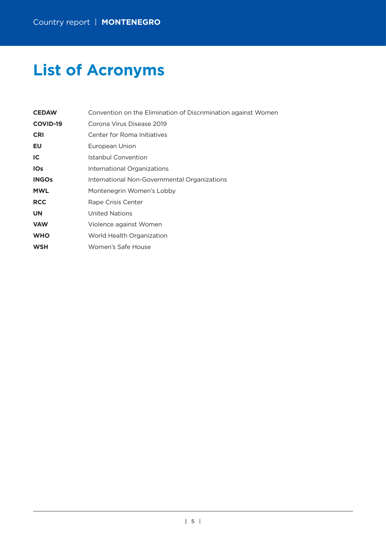# **List of Acronyms**

| <b>CEDAW</b>    | Convention on the Elimination of Discrimination against Women |
|-----------------|---------------------------------------------------------------|
| <b>COVID-19</b> | Corona Virus Disease 2019                                     |
| <b>CRI</b>      | Center for Roma Initiatives                                   |
| EU              | European Union                                                |
| IC              | Istanbul Convention                                           |
| <b>IOs</b>      | International Organizations                                   |
| <b>INGOs</b>    | International Non-Governmental Organizations                  |
| <b>MWL</b>      | Montenegrin Women's Lobby                                     |
| <b>RCC</b>      | Rape Crisis Center                                            |
| <b>UN</b>       | United Nations                                                |
| <b>VAW</b>      | Violence against Women                                        |
| <b>WHO</b>      | World Health Organization                                     |
| <b>WSH</b>      | Women's Safe House                                            |
|                 |                                                               |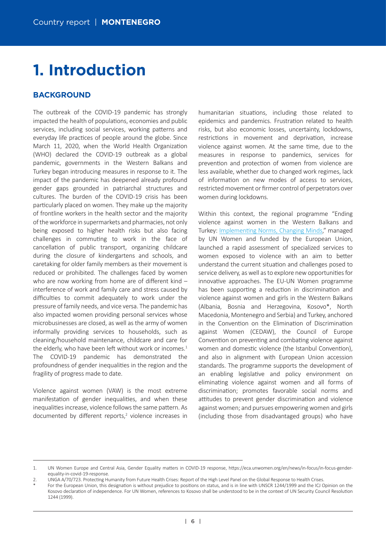# **1. Introduction**

# **BACKGROUND**

The outbreak of the COVID-19 pandemic has strongly impacted the health of populations, economies and public services, including social services, working patterns and everyday life practices of people around the globe. Since March 11, 2020, when the World Health Organization (WHO) declared the COVID-19 outbreak as a global pandemic, governments in the Western Balkans and Turkey began introducing measures in response to it. The impact of the pandemic has deepened already profound gender gaps grounded in patriarchal structures and cultures. The burden of the COVID-19 crisis has been particularly placed on women. They make up the majority of frontline workers in the health sector and the majority of the workforce in supermarkets and pharmacies, not only being exposed to higher health risks but also facing challenges in commuting to work in the face of cancellation of public transport, organizing childcare during the closure of kindergartens and schools, and caretaking for older family members as their movement is reduced or prohibited. The challenges faced by women who are now working from home are of different kind interference of work and family care and stress caused by difficulties to commit adequately to work under the pressure of family needs, and vice versa. The pandemic has also impacted women providing personal services whose microbusinesses are closed, as well as the army of women informally providing services to households, such as cleaning/household maintenance, childcare and care for the elderly, who have been left without work or incomes. $1$ The COVID-19 pandemic has demonstrated the profoundness of gender inequalities in the region and the fragility of progress made to date.

Violence against women (VAW) is the most extreme manifestation of gender inequalities, and when these inequalities increase, violence follows the same pattern. As documented by different reports,<sup>2</sup> violence increases in

humanitarian situations, including those related to epidemics and pandemics. Frustration related to health risks, but also economic losses, uncertainty, lockdowns, restrictions in movement and deprivation, increase violence against women. At the same time, due to the measures in response to pandemics, services for prevention and protection of women from violence are less available, whether due to changed work regimes, lack of information on new modes of access to services, restricted movement or firmer control of perpetrators over women during lockdowns.

Within this context, the regional programme "Ending violence against women in the Western Balkans and Turkey: Implementing Norms, Changing Minds," managed by UN Women and funded by the European Union, launched a rapid assessment of specialized services to women exposed to violence with an aim to better understand the current situation and challenges posed to service delivery, as well as to explore new opportunities for innovative approaches. The EU-UN Women programme has been supporting a reduction in discrimination and violence against women and girls in the Western Balkans (Albania, Bosnia and Herzegovina, Kosovo\*, North Macedonia, Montenegro and Serbia) and Turkey, anchored in the Convention on the Elimination of Discrimination against Women (CEDAW), the Council of Europe Convention on preventing and combating violence against women and domestic violence (the Istanbul Convention), and also in alignment with European Union accession standards. The programme supports the development of an enabling legislative and policy environment on eliminating violence against women and all forms of discrimination; promotes favorable social norms and attitudes to prevent gender discrimination and violence against women; and pursues empowering women and girls (including those from disadvantaged groups) who have

<sup>1.</sup> UN Women Europe and Central Asia, Gender Equality matters in COVID-19 response, https://eca.unwomen.org/en/news/in-focus/in-focus-gender[equality-in-covid-19-response.](https://eca.unwomen.org/en/news/in-focus/in-focus-gender-equality-in-covid-19-response)

<sup>2.</sup> UNGA A/70/723. Protecting Humanity from Future Health Crises: Report of the High Level Panel on the Global Response to Health Crises.

For the European Union, this designation is without prejudice to positions on status, and is in line with UNSCR 1244/1999 and the ICJ Opinion on the Kosovo declaration of independence. For UN Women, references to Kosovo shall be understood to be in the context of UN Security Council Resolution 1244 (1999).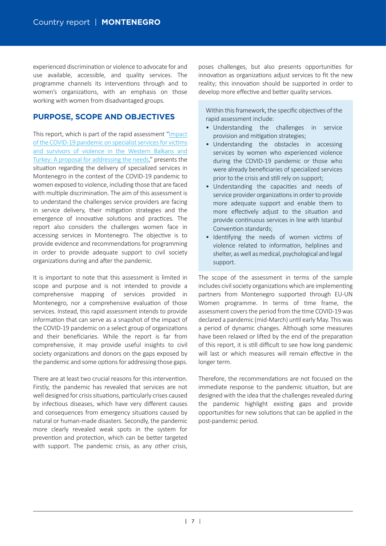experienced discrimination or violence to advocate for and use available, accessible, and quality services. The programme channels its interventions through and to women's organizations, with an emphasis on those working with women from disadvantaged groups.

# **PURPOSE, SCOPE AND OBJECTIVES**

This report, which is part of the rapid assessment"[Impact](https://eca.unwomen.org/en/digital-library/publications/2020/05/impact-of-the-covid-19-pandemic-on-specialist-services-for-victims-and-survivors-of-violence) of the COVID-19 pandemic on specialist services for victims [and survivors of violence in the Western Balkans and](https://eca.unwomen.org/en/digital-library/publications/2020/05/impact-of-the-covid-19-pandemic-on-specialist-services-for-victims-and-survivors-of-violence) [Turkey: A proposal for addressing the needs,](https://eca.unwomen.org/en/digital-library/publications/2020/05/impact-of-the-covid-19-pandemic-on-specialist-services-for-victims-and-survivors-of-violence)" presents the situation regarding the delivery of specialized services in Montenegro in the context of the COVID-19 pandemic to women exposed to violence, including those that are faced with multiple discrimination. The aim of this assessment is to understand the challenges service providers are facing in service delivery, their mitigation strategies and the emergence of innovative solutions and practices. The report also considers the challenges women face in accessing services in Montenegro. The objective is to provide evidence and recommendations for programming in order to provide adequate support to civil society organizations during and after the pandemic.

It is important to note that this assessment is limited in scope and purpose and is not intended to provide a comprehensive mapping of services provided in Montenegro, nor a comprehensive evaluation of those services. Instead, this rapid assessment intends to provide information that can serve as a snapshot of the impact of the COVID-19 pandemic on a select group of organizations and their beneficiaries. While the report is far from comprehensive, it may provide useful insights to civil society organizations and donors on the gaps exposed by the pandemic and some options for addressing those gaps.

There are at least two crucial reasons for this intervention. Firstly, the pandemic has revealed that services are not well designed for crisis situations, particularly crises caused by infectious diseases, which have very different causes and consequences from emergency situations caused by natural or human-made disasters. Secondly, the pandemic more clearly revealed weak spots in the system for prevention and protection, which can be better targeted with support. The pandemic crisis, as any other crisis,

poses challenges, but also presents opportunities for innovation as organizations adjust services to fit the new reality; this innovation should be supported in order to develop more effective and better quality services.

Within this framework, the specific objectives of the rapid assessment include:

- Understanding the challenges in service provision and mitigation strategies;
- Understanding the obstacles in accessing services by women who experienced violence during the COVID-19 pandemic or those who were already beneficiaries of specialized services prior to the crisis and still rely on support;
- Understanding the capaci�es and needs of service provider organizations in order to provide more adequate support and enable them to more effectively adjust to the situation and provide continuous services in line with Istanbul Convention standards;
- Identifying the needs of women victims of violence related to information, helplines and shelter, as well as medical, psychological and legal support.

The scope of the assessment in terms of the sample includes civil society organizations which are implementing partners from Montenegro supported through EU-UN Women programme. In terms of time frame, the assessment covers the period from the time COVID-19 was declared a pandemic (mid-March) until early May. This was a period of dynamic changes. Although some measures have been relaxed or lifted by the end of the preparation of this report, it is s�ll difficult to see how long pandemic will last or which measures will remain effective in the longer term.

Therefore, the recommendations are not focused on the immediate response to the pandemic situation, but are designed with the idea that the challenges revealed during the pandemic highlight existing gaps and provide opportunities for new solutions that can be applied in the post-pandemic period.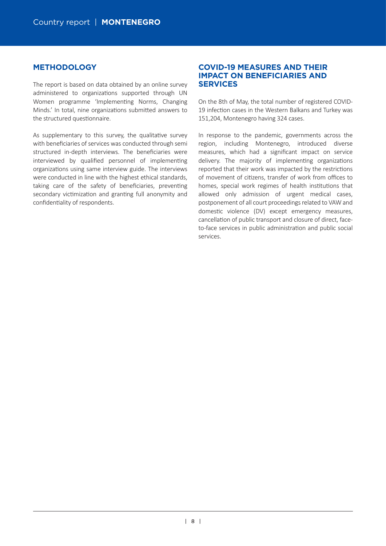# **METHODOLOGY**

The report is based on data obtained by an online survey administered to organizations supported through UN Women programme 'Implementing Norms, Changing Minds.' In total, nine organizations submitted answers to the structured questionnaire.

As supplementary to this survey, the qualitative survey with beneficiaries of services was conducted through semi structured in-depth interviews. The beneficiaries were interviewed by qualified personnel of implementing organizations using same interview guide. The interviews were conducted in line with the highest ethical standards, taking care of the safety of beneficiaries, preventing secondary victimization and granting full anonymity and confidentiality of respondents.

# **COVID-19 MEASURES AND THEIR IMPACT ON BENEFICIARIES AND SERVICES**

On the 8th of May, the total number of registered COVID-19 infection cases in the Western Balkans and Turkey was 151,204, Montenegro having 324 cases.

In response to the pandemic, governments across the region, including Montenegro, introduced diverse measures, which had a significant impact on service delivery. The majority of implementing organizations reported that their work was impacted by the restrictions of movement of citizens, transfer of work from offices to homes, special work regimes of health institutions that allowed only admission of urgent medical cases, postponement of all court proceedings related to VAW and domestic violence (DV) except emergency measures, cancellation of public transport and closure of direct, faceto-face services in public administration and public social services.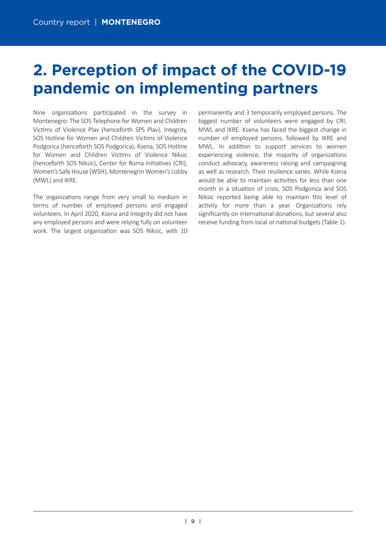# **2. Perception of impact of the COVID-19 pandemic on implementing partners**

Nine organizations participated in the survey in Montenegro: The SOS Telephone for Women and Children Victims of Violence Plav (henceforth SPS Plav), Integrity, SOS Hotline for Women and Children Victims of Violence Podgorica (henceforth SOS Podgorica), Ksena, SOS Hotline for Women and Children Victims of Violence Niksic (henceforth SOS Niksic), Center for Roma Initiatives (CRI), Women's Safe House (WSH), Montenegrin Women's Lobby (MWL) and IKRE.

The organizations range from very small to medium in terms of number of employed persons and engaged volunteers. In April 2020, Ksena and Integrity did not have any employed persons and were relying fully on volunteer work. The largest organization was SOS Niksic, with 10

permanently and 3 temporarily employed persons. The biggest number of volunteers were engaged by CRI, MWL and IKRE. Ksena has faced the biggest change in number of employed persons, followed by IKRE and MWL. In addition to support services to women experiencing violence, the majority of organizations conduct advocacy, awareness raising and campaigning as well as research. Their resilience varies. While Ksena would be able to maintain activities for less than one month in a situation of crisis. SOS Podgorica and SOS Niksic reported being able to maintain this level of activity for more than a year. Organizations rely significantly on international donations, but several also receive funding from local or national budgets (Table 1).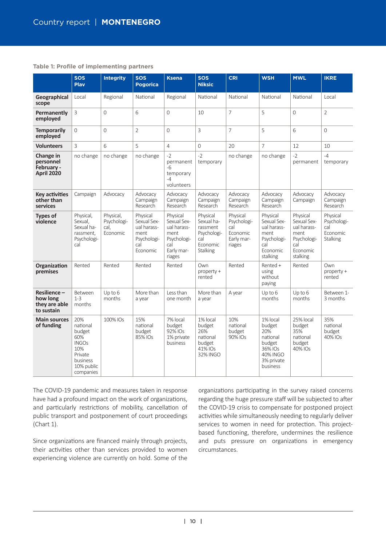#### **Table 1: Profile of implementing partners**

|                                                           | <b>SOS</b><br><b>Play</b>                                                                                 | <b>Integrity</b>                             | <b>SOS</b><br><b>Pogorica</b>                                                    | <b>Ksena</b>                                                                                 | SOS<br><b>Niksic</b>                                                             | <b>CRI</b>                                                         | <b>WSH</b>                                                                                              | <b>MWL</b>                                                                                   | <b>IKRE</b>                                                   |
|-----------------------------------------------------------|-----------------------------------------------------------------------------------------------------------|----------------------------------------------|----------------------------------------------------------------------------------|----------------------------------------------------------------------------------------------|----------------------------------------------------------------------------------|--------------------------------------------------------------------|---------------------------------------------------------------------------------------------------------|----------------------------------------------------------------------------------------------|---------------------------------------------------------------|
| Geographical<br>scope                                     | Local                                                                                                     | Regional                                     | National                                                                         | Regional                                                                                     | National                                                                         | National                                                           | National                                                                                                | National                                                                                     | Local                                                         |
| Permanently<br>employed                                   | 3                                                                                                         | 0                                            | 6                                                                                | 0                                                                                            | 10                                                                               | $\overline{7}$                                                     | 5                                                                                                       | 0                                                                                            | $\overline{2}$                                                |
| <b>Temporarily</b><br>employed                            | $\Omega$                                                                                                  | 0                                            | $\overline{2}$                                                                   | $\overline{0}$                                                                               | $\overline{3}$                                                                   | $\overline{7}$                                                     | 5                                                                                                       | 6                                                                                            | 0                                                             |
| <b>Volunteers</b>                                         | $\overline{3}$                                                                                            | 6                                            | 5                                                                                | 4                                                                                            | $\Omega$                                                                         | 20                                                                 | 7                                                                                                       | 12                                                                                           | 10                                                            |
| Change in<br>personnel<br>February -<br><b>April 2020</b> | no change                                                                                                 | no change                                    | no change                                                                        | $-2$<br>permanent<br>$-6$<br>temporary<br>$-4$<br>volunteers                                 | $-2$<br>temporary                                                                | no change                                                          | no change                                                                                               | $-2$<br>permanent                                                                            | $-4$<br>temporary                                             |
| <b>Key activities</b><br>other than<br>services           | Campaign                                                                                                  | Advocacy                                     | Advocacy<br>Campaign<br>Research                                                 | Advocacy<br>Campaign<br>Research                                                             | Advocacy<br>Campaign<br>Research                                                 | Advocacy<br>Campaign<br>Research                                   | Advocacy<br>Campaign<br>Research                                                                        | Advocacy<br>Campaign                                                                         | Advocacy<br>Campaign<br>Research                              |
| <b>Types of</b><br>violence                               | Physical,<br>Sexual.<br>Sexual ha-<br>rassment.<br>Psychologi-<br>cal                                     | Physical,<br>Psychologi-<br>cal.<br>Economic | Physical<br>Sexual Sex-<br>ual harass-<br>ment<br>Psychologi-<br>cal<br>Economic | Physical<br>Sexual Sex-<br>ual harass-<br>ment<br>Psychologi-<br>cal<br>Early mar-<br>riages | Physical<br>Sexual ha-<br>rassment<br>Psychologi-<br>cal<br>Economic<br>Stalking | Physical<br>Psychologi-<br>cal<br>Economic<br>Early mar-<br>riages | Physical<br>Sexual Sex-<br>ual harass-<br>ment<br>Psychologi-<br>cal<br>Economic<br>stalking            | Physical<br>Sexual Sex-<br>ual harass-<br>ment<br>Psychologi-<br>cal<br>Economic<br>stalking | Physical<br>Psychologi-<br>cal<br>Economic<br><b>Stalking</b> |
| Organization<br>premises                                  | Rented                                                                                                    | Rented                                       | Rented                                                                           | Rented                                                                                       | Own<br>property +<br>rented                                                      | Rented                                                             | Rented +<br>using<br>without<br>paying                                                                  | Rented                                                                                       | Own<br>property +<br>rented                                   |
| Resilience-<br>how long<br>they are able<br>to sustain    | Between<br>$1 - 3$<br>months                                                                              | $Up$ to $6$<br>months                        | More than<br>a year                                                              | Less than<br>one month                                                                       | More than<br>a year                                                              | A year                                                             | Up to $6$<br>months                                                                                     | Up to 6<br>months                                                                            | Between 1-<br>3 months                                        |
| <b>Main sources</b><br>of funding                         | 20%<br>national<br>budget<br>60%<br><b>INGOs</b><br>10%<br>Private<br>business<br>10% public<br>companies | 100% IOs                                     | 15%<br>national<br>budget<br>85% IOs                                             | 7% local<br>budget<br>92% IOs<br>1% private<br>business                                      | 1% local<br>budget<br>26%<br>national<br>budget<br>41% IOs<br>32% INGO           | 10%<br>national<br>budget<br>90% IOs                               | 1% local<br>budget<br>20%<br>national<br>budget<br>36% IOs<br><b>40% INGO</b><br>3% private<br>business | 25% local<br>budget<br>35%<br>national<br>budget<br>40% IOs                                  | 35%<br>national<br>budget<br>40% IOs                          |

The COVID-19 pandemic and measures taken in response have had a profound impact on the work of organizations, and particularly restrictions of mobility, cancellation of public transport and postponement of court proceedings (Chart 1).

Since organizations are financed mainly through projects, their activities other than services provided to women experiencing violence are currently on hold. Some of the

organizations participating in the survey raised concerns regarding the huge pressure staff will be subjected to after the COVID-19 crisis to compensate for postponed project activities while simultaneously needing to regularly deliver services to women in need for protection. This projectbased functioning, therefore, undermines the resilience and puts pressure on organizations in emergency circumstances.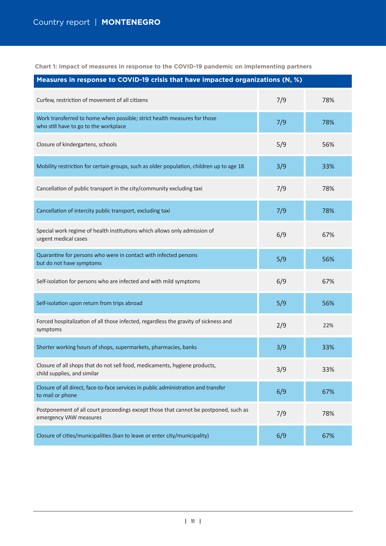**Chart 1: Impact of measures in response to the COVID-19 pandemic on implementing partners**

| Measures in response to COVID-19 crisis that have impacted organizations (N, %)                                   |     |     |  |  |  |  |  |  |  |
|-------------------------------------------------------------------------------------------------------------------|-----|-----|--|--|--|--|--|--|--|
| Curfew, restriction of movement of all citizens                                                                   | 7/9 | 78% |  |  |  |  |  |  |  |
| Work transferred to home when possible; strict health measures for those<br>who still have to go to the workplace | 7/9 | 78% |  |  |  |  |  |  |  |
| Closure of kindergartens, schools                                                                                 | 5/9 | 56% |  |  |  |  |  |  |  |
| Mobility restriction for certain groups, such as older population, children up to age 18                          | 3/9 | 33% |  |  |  |  |  |  |  |
| Cancellation of public transport in the city/community excluding taxi                                             | 7/9 | 78% |  |  |  |  |  |  |  |
| Cancellation of intercity public transport, excluding taxi                                                        | 7/9 | 78% |  |  |  |  |  |  |  |
| Special work regime of health institutions which allows only admission of<br>urgent medical cases                 | 6/9 | 67% |  |  |  |  |  |  |  |
| Quarantine for persons who were in contact with infected persons<br>but do not have symptoms                      | 5/9 | 56% |  |  |  |  |  |  |  |
| Self-isolation for persons who are infected and with mild symptoms                                                | 6/9 | 67% |  |  |  |  |  |  |  |
| Self-isolation upon return from trips abroad                                                                      | 5/9 | 56% |  |  |  |  |  |  |  |
| Forced hospitalization of all those infected, regardless the gravity of sickness and<br>symptoms                  | 2/9 | 22% |  |  |  |  |  |  |  |
| Shorter working hours of shops, supermarkets, pharmacies, banks                                                   | 3/9 | 33% |  |  |  |  |  |  |  |
| Closure of all shops that do not sell food, medicaments, hygiene products,<br>child supplies, and similar         | 3/9 | 33% |  |  |  |  |  |  |  |
| Closure of all direct, face-to-face services in public administration and transfer<br>to mail or phone            | 6/9 | 67% |  |  |  |  |  |  |  |
| Postponement of all court proceedings except those that cannot be postponed, such as<br>emergency VAW measures    | 7/9 | 78% |  |  |  |  |  |  |  |
| Closure of cities/municipalities (ban to leave or enter city/municipality)                                        | 6/9 | 67% |  |  |  |  |  |  |  |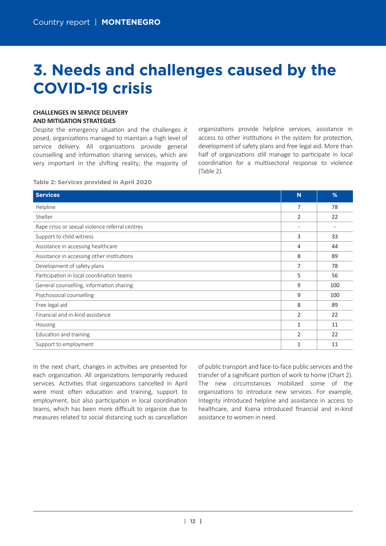# **3. Needs and challenges caused by the COVID-19 crisis**

# **CHALLENGES IN SERVICE DELIVERY AND MITIGATION STRATEGIES**

Despite the emergency situation and the challenges it posed, organizations managed to maintain a high level of service delivery. All organizations provide general counselling and information sharing services, which are very important in the shifting reality; the majority of organizations provide helpline services, assistance in access to other institutions in the system for protection, development of safety plans and free legal aid. More than half of organizations still manage to participate in local coordination for a multisectoral response to violence (Table 2).

#### **Table 2: Services provided in April 2020**

| <b>Services</b>                                 | N | %              |
|-------------------------------------------------|---|----------------|
| Helpline                                        | 7 | 78             |
| Shelter                                         | 2 | 22             |
| Rape crisis or sexual violence referral centres |   | $\overline{a}$ |
| Support to child witness                        | 3 | 33             |
| Assistance in accessing healthcare              | 4 | 44             |
| Assistance in accessing other institutions      | 8 | 89             |
| Development of safety plans                     | 7 | 78             |
| Participation in local coordination teams       | 5 | 56             |
| General counselling, information sharing        | 9 | 100            |
| Psychosocial counselling                        | 9 | 100            |
| Free legal aid                                  | 8 | 89             |
| Financial and in-kind assistance                | 2 | 22             |
| Housing                                         | 1 | 11             |
| Education and training                          | 2 | 22             |
| Support to employment                           | 1 | 11             |

In the next chart, changes in activities are presented for each organization. All organizations temporarily reduced services. Activities that organizations cancelled in April were most often education and training, support to employment, but also participation in local coordination teams, which has been more difficult to organize due to measures related to social distancing such as cancellation

of public transport and face-to-face public services and the transfer of a significant portion of work to home (Chart 2). The new circumstances mobilized some of the organizations to introduce new services. For example, Integrity introduced helpline and assistance in access to healthcare, and Ksena introduced financial and in-kind assistance to women in need.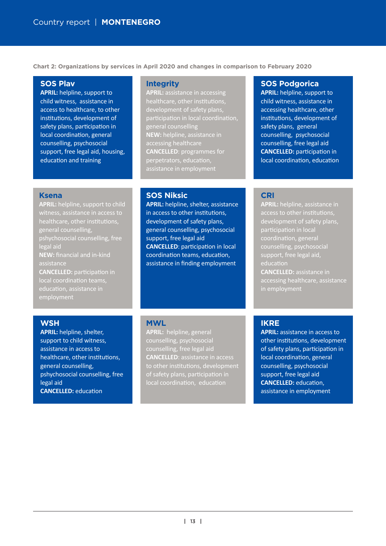**Chart 2: Organizations by services in April 2020 and changes in comparison to February 2020**

## **SOS Plav**

**APRIL:** helpline, support to child witness, assistance in access to healthcare, to other institutions, development of safety plans, participation in local coordination, general counselling, psychosocial support, free legal aid, housing, education and training

#### **Integrity**

**APRIL:** assistance in accessing healthcare, other institutions, participation in local coordination. general counselling **NEW:** helpline, assistance in accessing healthcare **CANCELLED**: programmes for perpetrators, education, assistance in employment

#### **Ksena**

**APRIL:** helpline, support to child witness, assistance in access to healthcare, other institutions, general counselling, pshychosocial counselling, free legal aid **NEW:** financial and in-kind assistance **CANCELLED:** participation in local coordination teams, education, assistance in

## **SOS Niksic**

**APRIL:** helpline, shelter, assistance in access to other institutions. development of safety plans, general counselling, psychosocial support, free legal aid **CANCELLED:** participation in local coordination teams, education, assistance in finding employment

# **SOS Podgorica**

**APRIL:** helpline, support to child witness, assistance in accessing healthcare, other institutions, development of safety plans, general counselling, psychosocial counselling, free legal aid **CANCELLED:** participation in local coordination, education

## **CRI**

**APRIL:** helpline, assistance in access to other institutions. participation in local coordination, general counselling, psychosocial education **CANCELLED:** assistance in accessing healthcare, assistance in employment

# **WSH**

**APRIL:** helpline, shelter, support to child witness, assistance in access to healthcare, other institutions, general counselling, pshychosocial counselling, free legal aid **CANCELLED:** education

# **MWL**

**APRIL:** helpline, general counselling, psychosocial **CANCELLED**: assistance in access to other institutions, development of safety plans, participation in local coordination, education

# **IKRE**

**APRIL:** assistance in access to other institutions, development of safety plans, participation in local coordination, general counselling, psychosocial support, free legal aid **CANCELLED:** education, assistance in employment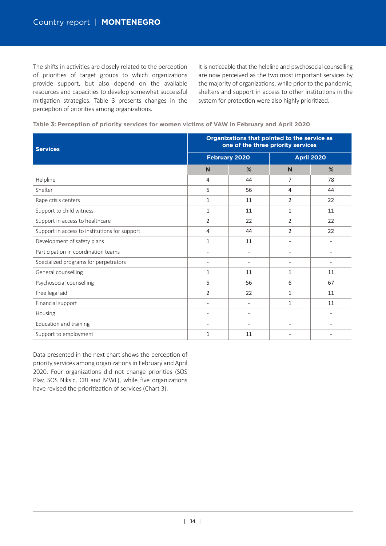The shifts in activities are closely related to the perception of priorities of target groups to which organizations provide support, but also depend on the available resources and capacities to develop somewhat successful mitigation strategies. Table 3 presents changes in the perception of priorities among organizations.

It is noticeable that the helpline and psychosocial counselling are now perceived as the two most important services by the majority of organizations, while prior to the pandemic, shelters and support in access to other institutions in the system for protection were also highly prioritized.

| Table 3: Perception of priority services for women victims of VAW in February and April 2020 |  |  |  |  |  |  |  |  |  |  |  |  |
|----------------------------------------------------------------------------------------------|--|--|--|--|--|--|--|--|--|--|--|--|
|----------------------------------------------------------------------------------------------|--|--|--|--|--|--|--|--|--|--|--|--|

| <b>Services</b>                               | Organizations that pointed to the service as<br>one of the three priority services |                          |                          |                   |  |  |  |  |
|-----------------------------------------------|------------------------------------------------------------------------------------|--------------------------|--------------------------|-------------------|--|--|--|--|
|                                               |                                                                                    | <b>February 2020</b>     |                          | <b>April 2020</b> |  |  |  |  |
|                                               | N                                                                                  | %                        | N                        | %                 |  |  |  |  |
| Helpline                                      | 4                                                                                  | 44                       | $\overline{7}$           | 78                |  |  |  |  |
| Shelter                                       | 5                                                                                  | 56                       | 4                        | 44                |  |  |  |  |
| Rape crisis centers                           | 1                                                                                  | 11                       | 2                        | 22                |  |  |  |  |
| Support to child witness                      | 1                                                                                  | 11                       | 1                        | 11                |  |  |  |  |
| Support in access to healthcare               | $\overline{2}$                                                                     | 22                       | $\overline{2}$           | 22                |  |  |  |  |
| Support in access to institutions for support | 4                                                                                  | 44                       | 2                        | 22                |  |  |  |  |
| Development of safety plans                   | $\mathbf{1}$                                                                       | 11                       | $\overline{a}$           |                   |  |  |  |  |
| Participation in coordination teams           | $\overline{\phantom{a}}$                                                           | $\overline{\phantom{a}}$ |                          |                   |  |  |  |  |
| Specialized programs for perpetrators         | $\overline{\phantom{0}}$                                                           | $\overline{\phantom{a}}$ | $\overline{\phantom{a}}$ |                   |  |  |  |  |
| General counselling                           | $\mathbf{1}$                                                                       | 11                       | 1                        | 11                |  |  |  |  |
| Psychosocial counselling                      | 5                                                                                  | 56                       | 6                        | 67                |  |  |  |  |
| Free legal aid                                | $\overline{2}$                                                                     | 22                       | 1                        | 11                |  |  |  |  |
| Financial support                             | $\overline{\phantom{0}}$                                                           | $\overline{\phantom{a}}$ | 1                        | 11                |  |  |  |  |
| Housing                                       | $\overline{\phantom{0}}$                                                           | $\overline{\phantom{a}}$ |                          |                   |  |  |  |  |
| Education and training                        |                                                                                    |                          | $\overline{a}$           |                   |  |  |  |  |
| Support to employment                         | 1                                                                                  | 11                       |                          |                   |  |  |  |  |

Data presented in the next chart shows the perception of priority services among organizations in February and April 2020. Four organizations did not change priorities (SOS Plav, SOS Niksic, CRI and MWL), while five organizations have revised the prioritization of services (Chart 3).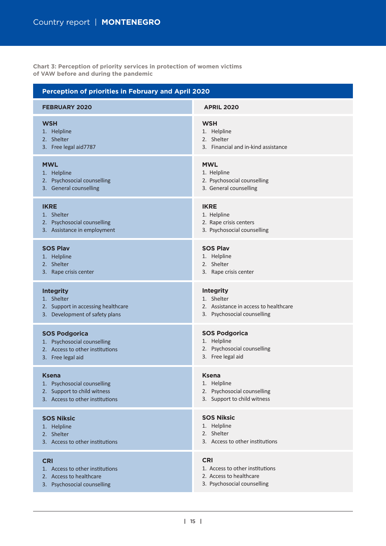**Chart 3: Perception of priority services in protection of women victims of VAW before and during the pandemic**

| Perception of priorities in February and April 2020 |                                       |  |  |  |  |  |  |  |
|-----------------------------------------------------|---------------------------------------|--|--|--|--|--|--|--|
| <b>FEBRUARY 2020</b>                                | <b>APRIL 2020</b>                     |  |  |  |  |  |  |  |
| <b>WSH</b>                                          | <b>WSH</b>                            |  |  |  |  |  |  |  |
| 1. Helpline                                         | 1. Helpline                           |  |  |  |  |  |  |  |
| 2. Shelter                                          | 2. Shelter                            |  |  |  |  |  |  |  |
| 3. Free legal aid7787                               | 3. Financial and in-kind assistance   |  |  |  |  |  |  |  |
| <b>MWL</b>                                          | <b>MWL</b>                            |  |  |  |  |  |  |  |
| 1. Helpline                                         | 1. Helpline                           |  |  |  |  |  |  |  |
| 2. Psychosocial counselling                         | 2. Psychosocial counselling           |  |  |  |  |  |  |  |
| 3. General counselling                              | 3. General counselling                |  |  |  |  |  |  |  |
| <b>IKRE</b>                                         | <b>IKRE</b>                           |  |  |  |  |  |  |  |
| 1. Shelter                                          | 1. Helpline                           |  |  |  |  |  |  |  |
| 2. Psychosocial counselling                         | 2. Rape crisis centers                |  |  |  |  |  |  |  |
| 3. Assistance in employment                         | 3. Psychosocial counselling           |  |  |  |  |  |  |  |
| <b>SOS Plav</b>                                     | <b>SOS Plav</b>                       |  |  |  |  |  |  |  |
| 1. Helpline                                         | 1. Helpline                           |  |  |  |  |  |  |  |
| 2. Shelter                                          | 2. Shelter                            |  |  |  |  |  |  |  |
| 3. Rape crisis center                               | 3. Rape crisis center                 |  |  |  |  |  |  |  |
| <b>Integrity</b>                                    | <b>Integrity</b>                      |  |  |  |  |  |  |  |
| 1. Shelter                                          | 1. Shelter                            |  |  |  |  |  |  |  |
| 2. Support in accessing healthcare                  | 2. Assistance in access to healthcare |  |  |  |  |  |  |  |
| 3. Development of safety plans                      | 3. Psychosocial counselling           |  |  |  |  |  |  |  |
| <b>SOS Podgorica</b>                                | <b>SOS Podgorica</b>                  |  |  |  |  |  |  |  |
| 1. Psychosocial counselling                         | 1. Helpline                           |  |  |  |  |  |  |  |
| 2. Access to other institutions                     | 2. Psychosocial counselling           |  |  |  |  |  |  |  |
| 3. Free legal aid                                   | 3. Free legal aid                     |  |  |  |  |  |  |  |
| <b>Ksena</b>                                        | <b>Ksena</b>                          |  |  |  |  |  |  |  |
| 1. Psychosocial counselling                         | 1. Helpline                           |  |  |  |  |  |  |  |
| 2. Support to child witness                         | 2. Psychosocial counselling           |  |  |  |  |  |  |  |
| 3. Access to other institutions                     | 3. Support to child witness           |  |  |  |  |  |  |  |
| <b>SOS Niksic</b>                                   | <b>SOS Niksic</b>                     |  |  |  |  |  |  |  |
| 1. Helpline                                         | 1. Helpline                           |  |  |  |  |  |  |  |
| 2. Shelter                                          | 2. Shelter                            |  |  |  |  |  |  |  |
| 3. Access to other institutions                     | 3. Access to other institutions       |  |  |  |  |  |  |  |
| <b>CRI</b>                                          | <b>CRI</b>                            |  |  |  |  |  |  |  |
| 1. Access to other institutions                     | 1. Access to other institutions       |  |  |  |  |  |  |  |
| 2. Access to healthcare                             | 2. Access to healthcare               |  |  |  |  |  |  |  |
| 3. Psychosocial counselling                         | 3. Psychosocial counselling           |  |  |  |  |  |  |  |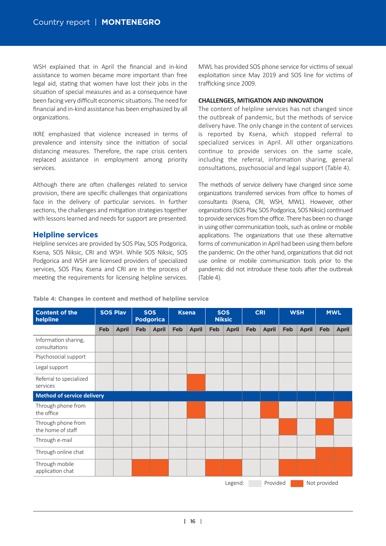WSH explained that in April the financial and in-kind assistance to women became more important than free legal aid, stating that women have lost their jobs in the situation of special measures and as a consequence have been facing very difficult economic situations. The need for financial and in-kind assistance has been emphasized by all organizations.

IKRE emphasized that violence increased in terms of prevalence and intensity since the initiation of social distancing measures. Therefore, the rape crisis centers replaced assistance in employment among priority services.

Although there are often challenges related to service provision, there are specific challenges that organizations face in the delivery of particular services. In further sections, the challenges and mitigation strategies together with lessons learned and needs for support are presented.

# **Helpline services**

Helpline services are provided by SOS Plav, SOS Podgorica, Ksena, SOS Niksic, CRI and WSH. While SOS Niksic, SOS Podgorica and WSH are licensed providers of specialized services, SOS Plav, Ksena and CRI are in the process of meeting the requirements for licensing helpline services. MWL has provided SOS phone service for victims of sexual exploitation since May 2019 and SOS line for victims of trafficking since 2009.

### **CHALLENGES, MITIGATION AND INNOVATION**

The content of helpline services has not changed since the outbreak of pandemic, but the methods of service delivery have. The only change in the content of services is reported by Ksena, which stopped referral to specialized services in April. All other organizations continue to provide services on the same scale, including the referral, information sharing, general consultations, psychosocial and legal support (Table 4).

The methods of service delivery have changed since some organizations transferred services from office to homes of consultants (Ksena, CRI, WSH, MWL). However, other organizations (SOS Plav, SOS Podgorica, SOS Niksic) continued to provide services from the office. There has been no change in using other communication tools, such as online or mobile applications. The organizations that use these alternative forms of communication in April had been using them before the pandemic. On the other hand, organizations that did not use online or mobile communication tools prior to the pandemic did not introduce these tools after the outbreak (Table 4).

#### **Table 4: Changes in content and method of helpline service**

| <b>Content of the</b><br>helpline       |     | <b>SOS Plav</b> |     | <b>SOS</b><br><b>Podgorica</b> |     | <b>Ksena</b> |     | <b>SOS</b><br><b>Niksic</b> |     | <b>CRI</b>   |     | <b>WSH</b>   |              | <b>MWL</b>   |
|-----------------------------------------|-----|-----------------|-----|--------------------------------|-----|--------------|-----|-----------------------------|-----|--------------|-----|--------------|--------------|--------------|
|                                         | Feb | <b>April</b>    | Feb | <b>April</b>                   | Feb | <b>April</b> | Feb | <b>April</b>                | Feb | <b>April</b> | Feb | <b>April</b> | Feb          | <b>April</b> |
| Information sharing,<br>consultations   |     |                 |     |                                |     |              |     |                             |     |              |     |              |              |              |
| Psychosocial support                    |     |                 |     |                                |     |              |     |                             |     |              |     |              |              |              |
| Legal support                           |     |                 |     |                                |     |              |     |                             |     |              |     |              |              |              |
| Referral to specialized<br>services     |     |                 |     |                                |     |              |     |                             |     |              |     |              |              |              |
| <b>Method of service delivery</b>       |     |                 |     |                                |     |              |     |                             |     |              |     |              |              |              |
| Through phone from<br>the office        |     |                 |     |                                |     |              |     |                             |     |              |     |              |              |              |
| Through phone from<br>the home of staff |     |                 |     |                                |     |              |     |                             |     |              |     |              |              |              |
| Through e-mail                          |     |                 |     |                                |     |              |     |                             |     |              |     |              |              |              |
| Through online chat                     |     |                 |     |                                |     |              |     |                             |     |              |     |              |              |              |
| Through mobile<br>application chat      |     |                 |     |                                |     |              |     |                             |     |              |     |              |              |              |
|                                         |     |                 |     |                                |     |              |     | Legend:                     |     | Provided     |     |              | Not provided |              |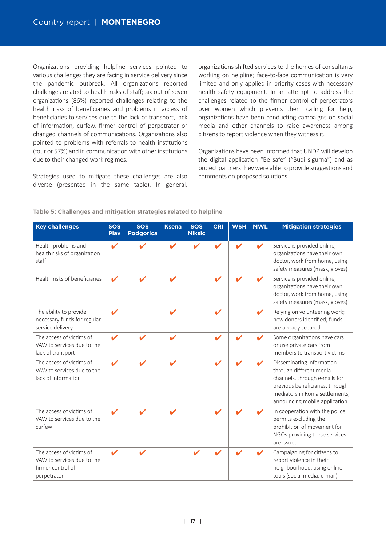Organizations providing helpline services pointed to various challenges they are facing in service delivery since the pandemic outbreak. All organizations reported challenges related to health risks of staff; six out of seven organizations (86%) reported challenges relating to the health risks of beneficiaries and problems in access of beneficiaries to services due to the lack of transport, lack of information, curfew, firmer control of perpetrator or changed channels of communications. Organizations also pointed to problems with referrals to health institutions (four or 57%) and in communication with other institutions due to their changed work regimes.

Strategies used to mitigate these challenges are also diverse (presented in the same table). In general,

organizations shifted services to the homes of consultants working on helpline; face-to-face communication is very limited and only applied in priority cases with necessary health safety equipment. In an attempt to address the challenges related to the firmer control of perpetrators over women which prevents them calling for help, organizations have been conducting campaigns on social media and other channels to raise awareness among citizens to report violence when they witness it.

Organizations have been informed that UNDP will develop the digital application "Be safe" ("Budi sigurna") and as project partners they were able to provide suggestions and comments on proposed solutions.

| <b>Key challenges</b>                                                                      | <b>SOS</b><br><b>Play</b>  | <b>SOS</b><br><b>Podgorica</b> | <b>Ksena</b>               | <b>SOS</b><br><b>Niksic</b> | <b>CRI</b> | <b>WSH</b> | <b>MWL</b> | <b>Mitigation strategies</b>                                                                                                                                                                |
|--------------------------------------------------------------------------------------------|----------------------------|--------------------------------|----------------------------|-----------------------------|------------|------------|------------|---------------------------------------------------------------------------------------------------------------------------------------------------------------------------------------------|
| Health problems and<br>health risks of organization<br>staff                               | ✔                          |                                |                            |                             |            |            |            | Service is provided online,<br>organizations have their own<br>doctor, work from home, using<br>safety measures (mask, gloves)                                                              |
| Health risks of beneficiaries                                                              | $\boldsymbol{\mathscr{L}}$ |                                | $\boldsymbol{\mathscr{L}}$ |                             |            |            |            | Service is provided online,<br>organizations have their own<br>doctor, work from home, using<br>safety measures (mask, gloves)                                                              |
| The ability to provide<br>necessary funds for regular<br>service delivery                  | $\boldsymbol{\mathcal{U}}$ |                                | $\boldsymbol{\mathscr{C}}$ |                             |            |            |            | Relying on volunteering work;<br>new donors identified; funds<br>are already secured                                                                                                        |
| The access of victims of<br>VAW to services due to the<br>lack of transport                | v                          |                                |                            |                             |            |            |            | Some organizations have cars<br>or use private cars from<br>members to transport victims                                                                                                    |
| The access of victims of<br>VAW to services due to the<br>lack of information              | $\boldsymbol{\nu}$         |                                | $\boldsymbol{\mathcal{U}}$ |                             |            |            |            | Disseminating information<br>through different media<br>channels, through e-mails for<br>previous beneficiaries, through<br>mediators in Roma settlements,<br>announcing mobile application |
| The access of victims of<br>VAW to services due to the<br>curfew                           | $\boldsymbol{\mathcal{L}}$ |                                |                            |                             |            |            |            | In cooperation with the police,<br>permits excluding the<br>prohibition of movement for<br>NGOs providing these services<br>are issued                                                      |
| The access of victims of<br>VAW to services due to the<br>firmer control of<br>perpetrator | $\boldsymbol{\mathscr{L}}$ |                                |                            |                             |            |            |            | Campaigning for citizens to<br>report violence in their<br>neighbourhood, using online<br>tools (social media, e-mail)                                                                      |

### **Table 5: Challenges and mitigation strategies related to helpline**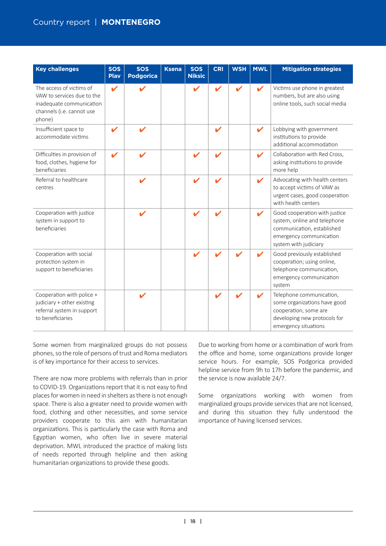# Country report | **MONTENEGRO**

| <b>Key challenges</b>                                                                                                     | <b>SOS</b><br>Play         | <b>SOS</b><br><b>Podgorica</b> | <b>Ksena</b> | <b>SOS</b><br><b>Niksic</b> | <b>CRI</b>                 | <b>WSH</b>               | <b>MWL</b>               | <b>Mitigation strategies</b>                                                                                                                    |
|---------------------------------------------------------------------------------------------------------------------------|----------------------------|--------------------------------|--------------|-----------------------------|----------------------------|--------------------------|--------------------------|-------------------------------------------------------------------------------------------------------------------------------------------------|
| The access of victims of<br>VAW to services due to the<br>inadequate communication<br>channels (i.e. cannot use<br>phone) | $\boldsymbol{\mathscr{L}}$ |                                |              |                             | V                          | $\overline{\mathscr{L}}$ |                          | Victims use phone in greatest<br>numbers, but are also using<br>online tools, such social media                                                 |
| Insufficient space to<br>accommodate victims                                                                              | V                          | ✔                              |              |                             | $\boldsymbol{\mathscr{C}}$ |                          | $\overline{\mathscr{L}}$ | Lobbying with government<br>institutions to provide<br>additional accommodation                                                                 |
| Difficulties in provision of<br>food, clothes, hygiene for<br>beneficiaries                                               |                            |                                |              |                             |                            |                          | ✔                        | Collaboration with Red Cross,<br>asking institutions to provide<br>more help                                                                    |
| Referral to healthcare<br>centres                                                                                         |                            | V                              |              |                             |                            |                          | $\mathbf{v}$             | Advocating with health centers<br>to accept victims of VAW as<br>urgent cases, good cooperation<br>with health centers                          |
| Cooperation with justice<br>system in support to<br>beneficiaries                                                         |                            |                                |              |                             |                            |                          | V                        | Good cooperation with justice<br>system, online and telephone<br>communication, established<br>emergency communication<br>system with judiciary |
| Cooperation with social<br>protection system in<br>support to beneficiaries                                               |                            |                                |              |                             |                            |                          |                          | Good previously established<br>cooperation; using online,<br>telephone communication,<br>emergency communication<br>system                      |
| Cooperation with police +<br>judiciary + other existing<br>referral system in support<br>to beneficiaries                 |                            |                                |              |                             |                            |                          |                          | Telephone communication,<br>some organizations have good<br>cooperation, some are<br>developing new protocols for<br>emergency situations       |

Some women from marginalized groups do not possess phones, so the role of persons of trust and Roma mediators is of key importance for their access to services.

There are now more problems with referrals than in prior to COVID-19. Organizations report that it is not easy to find places for women in need in shelters as there is not enough space. There is also a greater need to provide women with food, clothing and other necessities, and some service providers cooperate to this aim with humanitarian organizations. This is particularly the case with Roma and Egyptian women, who often live in severe material deprivation. MWL introduced the practice of making lists of needs reported through helpline and then asking humanitarian organizations to provide these goods.

Due to working from home or a combination of work from the office and home, some organizations provide longer service hours. For example, SOS Podgorica provided helpline service from 9h to 17h before the pandemic, and the service is now available 24/7.

Some organizations working with women from marginalized groups provide services that are not licensed, and during this situation they fully understood the importance of having licensed services.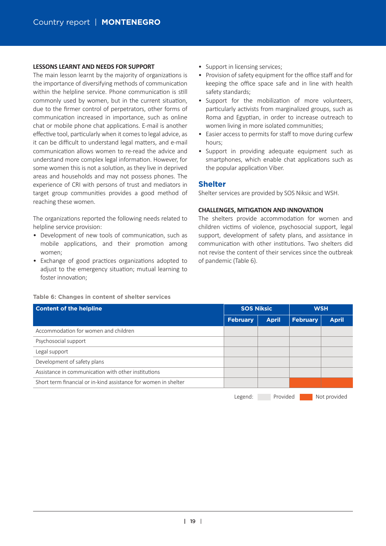#### **LESSONS LEARNT AND NEEDS FOR SUPPORT**

The main lesson learnt by the majority of organizations is the importance of diversifying methods of communication within the helpline service. Phone communication is still commonly used by women, but in the current situation, due to the firmer control of perpetrators, other forms of communication increased in importance, such as online chat or mobile phone chat applications. E-mail is another effective tool, particularly when it comes to legal advice, as it can be difficult to understand legal matters, and e-mail communication allows women to re-read the advice and understand more complex legal information. However, for some women this is not a solution, as they live in deprived areas and households and may not possess phones. The experience of CRI with persons of trust and mediators in target group communi�es provides a good method of reaching these women.

The organizations reported the following needs related to helpline service provision:

- Development of new tools of communication, such as mobile applications, and their promotion among women;
- Exchange of good practices organizations adopted to adjust to the emergency situation; mutual learning to foster innovation;
- Support in licensing services;
- Provision of safety equipment for the office staff and for keeping the office space safe and in line with health safety standards;
- Support for the mobilization of more volunteers, particularly activists from marginalized groups, such as Roma and Egyptian, in order to increase outreach to women living in more isolated communities;
- Easier access to permits for staff to move during curfew hours;
- Support in providing adequate equipment such as smartphones, which enable chat applications such as the popular application Viber.

### **Shelter**

Shelter services are provided by SOS Niksic and WSH.

### **CHALLENGES, MITIGATION AND INNOVATION**

The shelters provide accommodation for women and children victims of violence, psychosocial support, legal support, development of safety plans, and assistance in communication with other institutions. Two shelters did not revise the content of their services since the outbreak of pandemic (Table 6).

#### **Table 6: Changes in content of shelter services**

| <b>Content of the helpline</b>                                  | <b>SOS Niksic</b> |              | <b>WSH</b>      |              |  |
|-----------------------------------------------------------------|-------------------|--------------|-----------------|--------------|--|
|                                                                 | <b>February</b>   | <b>April</b> | <b>February</b> | <b>April</b> |  |
| Accommodation for women and children                            |                   |              |                 |              |  |
| Psychosocial support                                            |                   |              |                 |              |  |
| Legal support                                                   |                   |              |                 |              |  |
| Development of safety plans                                     |                   |              |                 |              |  |
| Assistance in communication with other institutions             |                   |              |                 |              |  |
| Short term financial or in-kind assistance for women in shelter |                   |              |                 |              |  |
|                                                                 | Legend:           | Provided     |                 | Not provided |  |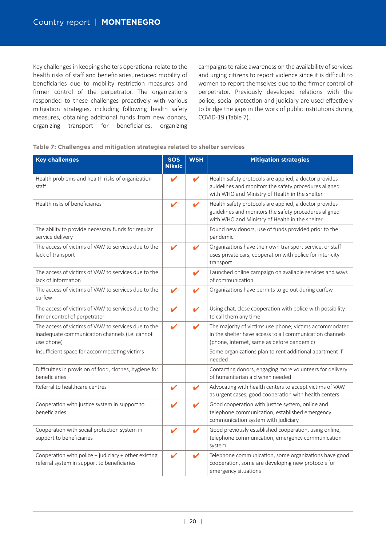Key challenges in keeping shelters operational relate to the health risks of staff and beneficiaries, reduced mobility of beneficiaries due to mobility restriction measures and firmer control of the perpetrator. The organizations responded to these challenges proactively with various mitigation strategies, including following health safety measures, obtaining additional funds from new donors, organizing transport for beneficiaries, organizing campaigns to raise awareness on the availability of services and urging citizens to report violence since it is difficult to women to report themselves due to the firmer control of perpetrator. Previously developed relations with the police, social protection and judiciary are used effectively to bridge the gaps in the work of public institutions during COVID-19 (Table 7).

| Table 7: Challenges and mitigation strategies related to shelter services |  |  |  |  |  |  |  |
|---------------------------------------------------------------------------|--|--|--|--|--|--|--|
|---------------------------------------------------------------------------|--|--|--|--|--|--|--|

| <b>Key challenges</b>                                                                                               | <b>SOS</b><br><b>Niksic</b> | <b>WSH</b>                 | <b>Mitigation strategies</b>                                                                                                                                      |
|---------------------------------------------------------------------------------------------------------------------|-----------------------------|----------------------------|-------------------------------------------------------------------------------------------------------------------------------------------------------------------|
| Health problems and health risks of organization<br>staff                                                           | ✔                           | ✔                          | Health safety protocols are applied, a doctor provides<br>guidelines and monitors the safety procedures aligned<br>with WHO and Ministry of Health in the shelter |
| Health risks of beneficiaries                                                                                       | V                           | $\boldsymbol{\mathcal{U}}$ | Health safety protocols are applied, a doctor provides<br>guidelines and monitors the safety procedures aligned<br>with WHO and Ministry of Health in the shelter |
| The ability to provide necessary funds for regular<br>service delivery                                              |                             |                            | Found new donors, use of funds provided prior to the<br>pandemic                                                                                                  |
| The access of victims of VAW to services due to the<br>lack of transport                                            | $\boldsymbol{\mathscr{C}}$  |                            | Organizations have their own transport service, or staff<br>uses private cars, cooperation with police for inter-city<br>transport                                |
| The access of victims of VAW to services due to the<br>lack of information                                          |                             | $\checkmark$               | Launched online campaign on available services and ways<br>of communication                                                                                       |
| The access of victims of VAW to services due to the<br>curfew                                                       | V                           | $\checkmark$               | Organizations have permits to go out during curfew                                                                                                                |
| The access of victims of VAW to services due to the<br>firmer control of perpetrator                                | V                           | V                          | Using chat, close cooperation with police with possibility<br>to call them any time                                                                               |
| The access of victims of VAW to services due to the<br>inadequate communication channels (i.e. cannot<br>use phone) | V                           | V                          | The majority of victims use phone; victims accommodated<br>in the shelter have access to all communication channels<br>(phone, internet, same as before pandemic) |
| Insufficient space for accommodating victims                                                                        |                             |                            | Some organizations plan to rent additional apartment if<br>needed                                                                                                 |
| Difficulties in provision of food, clothes, hygiene for<br>beneficiaries                                            |                             |                            | Contacting donors, engaging more volunteers for delivery<br>of humanitarian aid when needed                                                                       |
| Referral to healthcare centres                                                                                      | V                           | V                          | Advocating with health centers to accept victims of VAW<br>as urgent cases, good cooperation with health centers                                                  |
| Cooperation with justice system in support to<br>beneficiaries                                                      | V                           | ✔                          | Good cooperation with justice system, online and<br>telephone communication, established emergency<br>communication system with judiciary                         |
| Cooperation with social protection system in<br>support to beneficiaries                                            | V                           | V                          | Good previously established cooperation, using online,<br>telephone communication, emergency communication<br>system                                              |
| Cooperation with police + judiciary + other existing<br>referral system in support to beneficiaries                 | v                           | V                          | Telephone communication, some organizations have good<br>cooperation, some are developing new protocols for<br>emergency situations                               |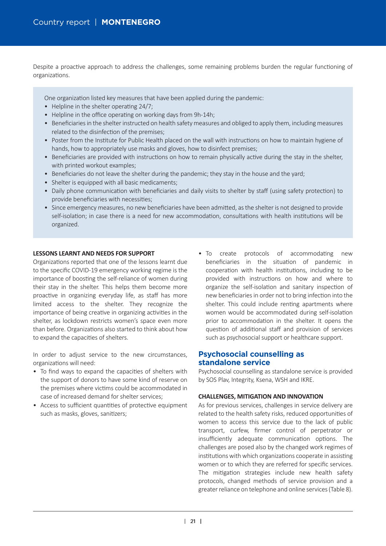Despite a proactive approach to address the challenges, some remaining problems burden the regular functioning of organizations.

One organization listed key measures that have been applied during the pandemic:

- Helpline in the shelter operating  $24/7$ ;
- Helpline in the office operating on working days from 9h-14h;
- Beneficiaries in the shelter instructed on health safety measures and obliged to apply them, including measures related to the disinfection of the premises;
- Poster from the Institute for Public Health placed on the wall with instructions on how to maintain hygiene of hands, how to appropriately use masks and gloves, how to disinfect premises;
- Beneficiaries are provided with instructions on how to remain physically active during the stay in the shelter, with printed workout examples;
- Beneficiaries do not leave the shelter during the pandemic; they stay in the house and the yard;
- Shelter is equipped with all basic medicaments;
- Daily phone communication with beneficiaries and daily visits to shelter by staff (using safety protection) to provide beneficiaries with necessities;
- Since emergency measures, no new beneficiaries have been admi�ed, as the shelter is not designed to provide self-isolation; in case there is a need for new accommodation, consultations with health institutions will be organized.

#### **LESSONS LEARNT AND NEEDS FOR SUPPORT**

Organizations reported that one of the lessons learnt due to the specific COVID-19 emergency working regime is the importance of boosting the self-reliance of women during their stay in the shelter. This helps them become more proactive in organizing everyday life, as staff has more limited access to the shelter. They recognize the importance of being creative in organizing activities in the shelter, as lockdown restricts women's space even more than before. Organizations also started to think about how to expand the capacities of shelters.

In order to adjust service to the new circumstances, organizations will need:

- To find ways to expand the capacities of shelters with the support of donors to have some kind of reserve on the premises where victims could be accommodated in case of increased demand for shelter services;
- Access to sufficient quantities of protective equipment such as masks, gloves, sanitizers;

• To create protocols of accommodating new beneficiaries in the situation of pandemic in cooperation with health institutions, including to be provided with instructions on how and where to organize the self-isolation and sanitary inspection of new beneficiaries in order not to bring infection into the shelter. This could include renting apartments where women would be accommodated during self-isolation prior to accommodation in the shelter. It opens the question of additional staff and provision of services such as psychosocial support or healthcare support.

## **Psychosocial counselling as standalone service**

Psychosocial counselling as standalone service is provided by SOS Plav, Integrity, Ksena, WSH and IKRE.

#### **CHALLENGES, MITIGATION AND INNOVATION**

As for previous services, challenges in service delivery are related to the health safety risks, reduced opportunities of women to access this service due to the lack of public transport, curfew, firmer control of perpetrator or insufficiently adequate communication options. The challenges are posed also by the changed work regimes of institutions with which organizations cooperate in assisting women or to which they are referred for specific services. The mitigation strategies include new health safety protocols, changed methods of service provision and a greater reliance on telephone and online services (Table 8).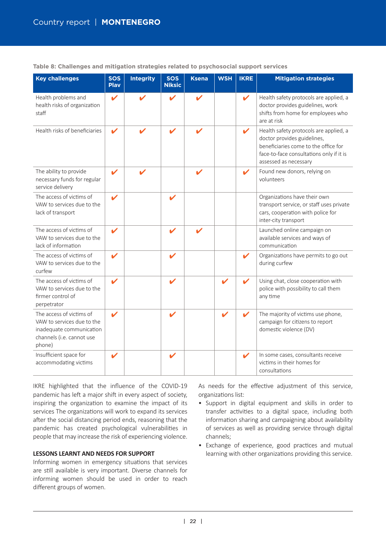| <b>Key challenges</b>                                                                                                     | <b>SOS</b><br><b>Play</b>  | <b>Integrity</b> | <b>SOS</b><br><b>Niksic</b> | <b>Ksena</b>       | <b>WSH</b> | <b>IKRE</b>                | <b>Mitigation strategies</b>                                                                                                                                                       |
|---------------------------------------------------------------------------------------------------------------------------|----------------------------|------------------|-----------------------------|--------------------|------------|----------------------------|------------------------------------------------------------------------------------------------------------------------------------------------------------------------------------|
| Health problems and<br>health risks of organization<br>staff                                                              | $\boldsymbol{\mathcal{U}}$ | V                | V                           | $\boldsymbol{\nu}$ |            | $\boldsymbol{\mathcal{U}}$ | Health safety protocols are applied, a<br>doctor provides guidelines, work<br>shifts from home for employees who<br>are at risk                                                    |
| Health risks of beneficiaries                                                                                             |                            |                  |                             |                    |            | ✔                          | Health safety protocols are applied, a<br>doctor provides guidelines,<br>beneficiaries come to the office for<br>face-to-face consultations only if it is<br>assessed as necessary |
| The ability to provide<br>necessary funds for regular<br>service delivery                                                 |                            |                  |                             |                    |            | ✔                          | Found new donors, relying on<br>volunteers                                                                                                                                         |
| The access of victims of<br>VAW to services due to the<br>lack of transport                                               |                            |                  |                             |                    |            |                            | Organizations have their own<br>transport service, or staff uses private<br>cars, cooperation with police for<br>inter-city transport                                              |
| The access of victims of<br>VAW to services due to the<br>lack of information                                             |                            |                  |                             |                    |            |                            | Launched online campaign on<br>available services and ways of<br>communication                                                                                                     |
| The access of victims of<br>VAW to services due to the<br>curfew                                                          | $\boldsymbol{\mathscr{L}}$ |                  | V                           |                    |            | $\boldsymbol{\mathcal{U}}$ | Organizations have permits to go out<br>during curfew                                                                                                                              |
| The access of victims of<br>VAW to services due to the<br>firmer control of<br>perpetrator                                | V                          |                  | V                           |                    |            | V                          | Using chat, close cooperation with<br>police with possibility to call them<br>any time                                                                                             |
| The access of victims of<br>VAW to services due to the<br>inadequate communication<br>channels (i.e. cannot use<br>phone) |                            |                  |                             |                    |            |                            | The majority of victims use phone,<br>campaign for citizens to report<br>domestic violence (DV)                                                                                    |
| Insufficient space for<br>accommodating victims                                                                           | V                          |                  | v                           |                    |            |                            | In some cases, consultants receive<br>victims in their homes for<br>consultations                                                                                                  |

**Table 8: Challenges and mitigation strategies related to psychosocial support services**

IKRE highlighted that the influence of the COVID-19 pandemic has left a major shift in every aspect of society, inspiring the organization to examine the impact of its services The organizations will work to expand its services after the social distancing period ends, reasoning that the pandemic has created psychological vulnerabilities in people that may increase the risk of experiencing violence.

#### **LESSONS LEARNT AND NEEDS FOR SUPPORT**

Informing women in emergency situations that services are still available is very important. Diverse channels for informing women should be used in order to reach different groups of women.

As needs for the effective adjustment of this service, organizations list:

- Support in digital equipment and skills in order to transfer activities to a digital space, including both information sharing and campaigning about availability of services as well as providing service through digital channels;
- Exchange of experience, good practices and mutual learning with other organizations providing this service.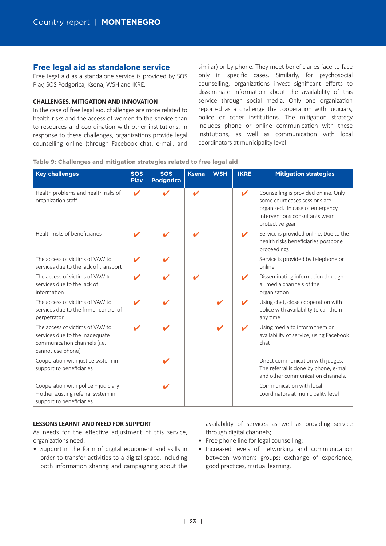# **Free legal aid as standalone service**

Free legal aid as a standalone service is provided by SOS Plav, SOS Podgorica, Ksena, WSH and IKRE.

#### **CHALLENGES, MITIGATION AND INNOVATION**

In the case of free legal aid, challenges are more related to health risks and the access of women to the service than to resources and coordination with other institutions. In response to these challenges, organizations provide legal counselling online (through Facebook chat, e-mail, and similar) or by phone. They meet beneficiaries face-to-face only in specific cases. Similarly, for psychosocial counselling, organizations invest significant efforts to disseminate information about the availability of this service through social media. Only one organization reported as a challenge the cooperation with judiciary, police or other institutions. The mitigation strategy includes phone or online communication with these institutions, as well as communication with local coordinators at municipality level.

#### **Table 9: Challenges and mitigation strategies related to free legal aid**

| <b>Key challenges</b>                                                                                                  | <b>SOS</b><br><b>Play</b>  | <b>SOS</b><br><b>Podgorica</b> | <b>Ksena</b> | <b>WSH</b> | <b>IKRE</b>        | <b>Mitigation strategies</b>                                                                                                                                  |
|------------------------------------------------------------------------------------------------------------------------|----------------------------|--------------------------------|--------------|------------|--------------------|---------------------------------------------------------------------------------------------------------------------------------------------------------------|
| Health problems and health risks of<br>organization staff                                                              | $\boldsymbol{\mathcal{U}}$ |                                | ✔            |            | ✔                  | Counselling is provided online. Only<br>some court cases sessions are<br>organized. In case of emergency<br>interventions consultants wear<br>protective gear |
| Health risks of beneficiaries                                                                                          | V                          |                                | V            |            | ✔                  | Service is provided online. Due to the<br>health risks beneficiaries postpone<br>proceedings                                                                  |
| The access of victims of VAW to<br>services due to the lack of transport                                               | V                          | V                              |              |            |                    | Service is provided by telephone or<br>online                                                                                                                 |
| The access of victims of VAW to<br>services due to the lack of<br>information                                          | $\boldsymbol{\nu}$         | ✔                              | v            |            | ✔                  | Disseminating information through<br>all media channels of the<br>organization                                                                                |
| The access of victims of VAW to<br>services due to the firmer control of<br>perpetrator                                | V                          | V                              |              |            | $\boldsymbol{\nu}$ | Using chat, close cooperation with<br>police with availability to call them<br>any time                                                                       |
| The access of victims of VAW to<br>services due to the inadequate<br>communication channels (i.e.<br>cannot use phone) |                            | ✔                              |              | ✔          |                    | Using media to inform them on<br>availability of service, using Facebook<br>chat                                                                              |
| Cooperation with justice system in<br>support to beneficiaries                                                         |                            | V                              |              |            |                    | Direct communication with judges.<br>The referral is done by phone, e-mail<br>and other communication channels.                                               |
| Cooperation with police + judiciary<br>+ other existing referral system in<br>support to beneficiaries                 |                            | V                              |              |            |                    | Communication with local<br>coordinators at municipality level                                                                                                |

#### **LESSONS LEARNT AND NEED FOR SUPPORT**

As needs for the effective adjustment of this service, organizations need:

• Support in the form of digital equipment and skills in order to transfer activities to a digital space, including both information sharing and campaigning about the

availability of services as well as providing service through digital channels;

- Free phone line for legal counselling;
- Increased levels of networking and communication between women's groups; exchange of experience, good practices, mutual learning.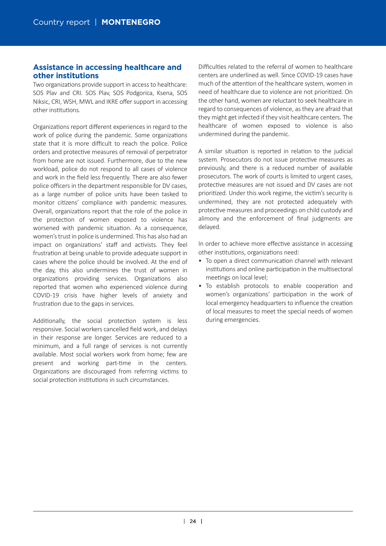# **Assistance in accessing healthcare and other institutions**

Two organizations provide support in access to healthcare: SOS Plav and CRI. SOS Plav, SOS Podgorica, Ksena, SOS Niksic, CRI, WSH, MWL and IKRE offer support in accessing other institutions.

Organizations report different experiences in regard to the work of police during the pandemic. Some organizations state that it is more difficult to reach the police. Police orders and protective measures of removal of perpetrator from home are not issued. Furthermore, due to the new workload, police do not respond to all cases of violence and work in the field less frequently. There are also fewer police officers in the department responsible for DV cases, as a large number of police units have been tasked to monitor citizens' compliance with pandemic measures. Overall, organizations report that the role of the police in the protection of women exposed to violence has worsened with pandemic situation. As a consequence, women's trust in police is undermined. This has also had an impact on organizations' staff and activists. They feel frustration at being unable to provide adequate support in cases where the police should be involved. At the end of the day, this also undermines the trust of women in organizations providing services. Organizations also reported that women who experienced violence during COVID-19 crisis have higher levels of anxiety and frustration due to the gaps in services.

Additionally, the social protection system is less responsive. Social workers cancelled field work, and delays in their response are longer. Services are reduced to a minimum, and a full range of services is not currently available. Most social workers work from home; few are present and working part-time in the centers. Organizations are discouraged from referring victims to social protection institutions in such circumstances.

Difficulties related to the referral of women to healthcare centers are underlined as well. Since COVID-19 cases have much of the attention of the healthcare system, women in need of healthcare due to violence are not prioritized. On the other hand, women are reluctant to seek healthcare in regard to consequences of violence, as they are afraid that they might get infected if they visit healthcare centers. The healthcare of women exposed to violence is also undermined during the pandemic.

A similar situation is reported in relation to the judicial system. Prosecutors do not issue protective measures as previously, and there is a reduced number of available prosecutors. The work of courts is limited to urgent cases, protective measures are not issued and DV cases are not prioritized. Under this work regime, the victim's security is undermined, they are not protected adequately with protective measures and proceedings on child custody and alimony and the enforcement of final judgments are delayed.

In order to achieve more effective assistance in accessing other institutions, organizations need:

- To open a direct communication channel with relevant institutions and online participation in the multisectoral meetings on local level;
- To establish protocols to enable cooperation and women's organizations' participation in the work of local emergency headquarters to influence the creation of local measures to meet the special needs of women during emergencies.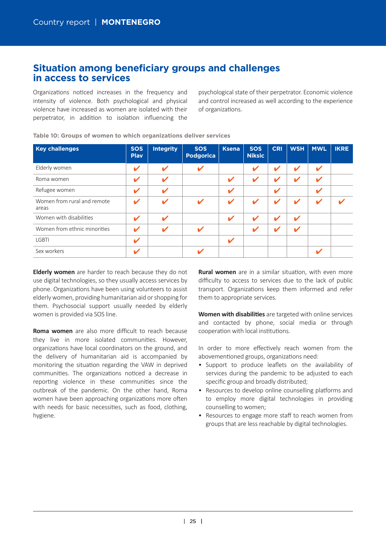# **Situation among beneficiary groups and challenges in access to services**

Organizations noticed increases in the frequency and intensity of violence. Both psychological and physical violence have increased as women are isolated with their perpetrator, in addition to isolation influencing the

psychological state of their perpetrator. Economic violence and control increased as well according to the experience of organizations.

| <b>Key challenges</b>                | <b>SOS</b><br><b>Play</b>  | <b>Integrity</b>           | <b>SOS</b><br><b>Podgorica</b> | <b>Ksena</b>               | <b>SOS</b><br><b>Niksic</b> | <b>CRI</b> | <b>WSH</b>                 | <b>MWL</b> | <b>IKRE</b> |
|--------------------------------------|----------------------------|----------------------------|--------------------------------|----------------------------|-----------------------------|------------|----------------------------|------------|-------------|
| Elderly women                        | $\boldsymbol{\mathcal{U}}$ | ✔                          | ✔                              |                            | V                           | V          | $\overline{\mathbf{v}}$    | V          |             |
| Roma women                           | $\mathbf v$                | V                          |                                | $\boldsymbol{\mathscr{L}}$ | V                           | V          | V                          | v          |             |
| Refugee women                        | V                          | $\boldsymbol{\mathscr{L}}$ |                                | V                          |                             | V          |                            | V          |             |
| Women from rural and remote<br>areas | $\boldsymbol{\mathscr{C}}$ | ✔                          | V                              | V                          | ✔                           | v          | V                          |            |             |
| Women with disabilities              | $\mathbf{v}$               | $\boldsymbol{\mathscr{C}}$ |                                | V                          | V                           | V          | $\boldsymbol{\mathscr{L}}$ |            |             |
| Women from ethnic minorities         | $\boldsymbol{\mathscr{C}}$ | V                          | ✔                              |                            | V                           | V          | ✔                          |            |             |
| <b>LGBTI</b>                         | V                          |                            |                                | V                          |                             |            |                            |            |             |
| Sex workers                          | $\boldsymbol{\mathscr{C}}$ |                            |                                |                            |                             |            |                            | V          |             |

**Table 10: Groups of women to which organizations deliver services**

**Elderly women** are harder to reach because they do not use digital technologies, so they usually access services by phone. Organizations have been using volunteers to assist elderly women, providing humanitarian aid or shopping for them. Psychosocial support usually needed by elderly women is provided via SOS line.

**Roma women** are also more difficult to reach because they live in more isolated communities. However, organizations have local coordinators on the ground, and the delivery of humanitarian aid is accompanied by monitoring the situation regarding the VAW in deprived communities. The organizations noticed a decrease in reporting violence in these communities since the outbreak of the pandemic. On the other hand, Roma women have been approaching organizations more often with needs for basic necessities, such as food, clothing, hygiene.

**Rural women** are in a similar situation, with even more difficulty to access to services due to the lack of public transport. Organizations keep them informed and refer them to appropriate services.

**Women with disabilities** are targeted with online services and contacted by phone, social media or through cooperation with local institutions.

In order to more effectively reach women from the abovementioned groups, organizations need:

- Support to produce leaflets on the availability of services during the pandemic to be adjusted to each specific group and broadly distributed;
- Resources to develop online counselling platforms and to employ more digital technologies in providing counselling to women;
- Resources to engage more staff to reach women from groups that are less reachable by digital technologies.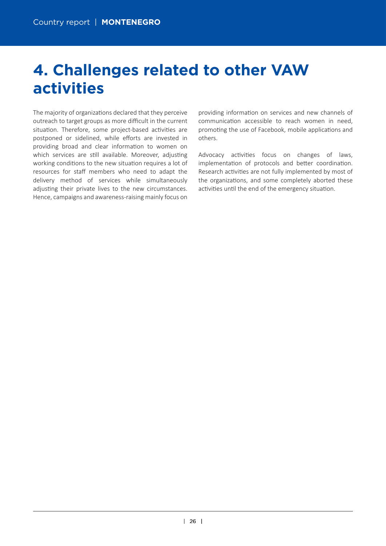# **4. Challenges related to other VAW activities**

The majority of organizations declared that they perceive outreach to target groups as more difficult in the current situation. Therefore, some project-based activities are postponed or sidelined, while efforts are invested in providing broad and clear information to women on which services are still available. Moreover, adjusting working conditions to the new situation requires a lot of resources for staff members who need to adapt the delivery method of services while simultaneously adjusting their private lives to the new circumstances. Hence, campaigns and awareness-raising mainly focus on providing information on services and new channels of communication accessible to reach women in need, promoting the use of Facebook, mobile applications and others.

Advocacy activities focus on changes of laws, implementation of protocols and better coordination. Research activities are not fully implemented by most of the organizations, and some completely aborted these activities until the end of the emergency situation.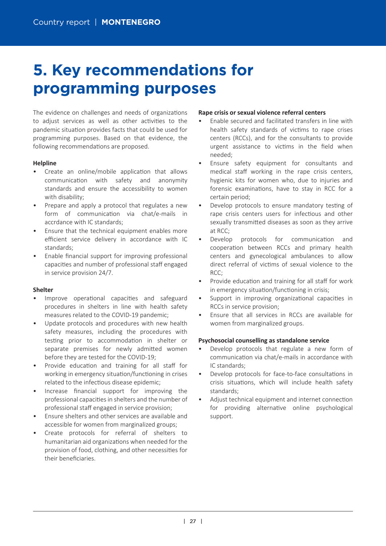# **5. Key recommendations for programming purposes**

The evidence on challenges and needs of organizations to adjust services as well as other activities to the pandemic situation provides facts that could be used for programming purposes. Based on that evidence, the following recommendations are proposed.

### **Helpline**

- Create an online/mobile application that allows communication with safety and anonymity standards and ensure the accessibility to women with disability;
- Prepare and apply a protocol that regulates a new form of communication via chat/e-mails in accrdance with IC standards;
- Ensure that the technical equipment enables more efficient service delivery in accordance with IC standards;
- Enable financial support for improving professional capaci�es and number of professional staff engaged in service provision 24/7.

### **Shelter**

- Improve operational capacities and safeguard procedures in shelters in line with health safety measures related to the COVID-19 pandemic;
- Update protocols and procedures with new health safety measures, including the procedures with testing prior to accommodation in shelter or separate premises for newly admitted women before they are tested for the COVID-19;
- Provide education and training for all staff for working in emergency situation/functioning in crises related to the infectious disease epidemic:
- Increase financial support for improving the professional capacities in shelters and the number of professional staff engaged in service provision;
- Ensure shelters and other services are available and accessible for women from marginalized groups;
- Create protocols for referral of shelters to humanitarian aid organizations when needed for the provision of food, clothing, and other necessities for their beneficiaries.

### **Rape crisis or sexual violence referral centers**

- Enable secured and facilitated transfers in line with health safety standards of victims to rape crises centers (RCCs), and for the consultants to provide urgent assistance to victims in the field when needed;
- Ensure safety equipment for consultants and medical staff working in the rape crisis centers, hygienic kits for women who, due to injuries and forensic examinations, have to stay in RCC for a certain period;
- Develop protocols to ensure mandatory testing of rape crisis centers users for infectious and other sexually transmitted diseases as soon as they arrive at RCC;
- Develop protocols for communication and cooperation between RCCs and primary health centers and gynecological ambulances to allow direct referral of victims of sexual violence to the  $RCC$
- Provide education and training for all staff for work in emergency situation/functioning in crisis;
- Support in improving organizational capacities in RCCs in service provision;
- Ensure that all services in RCCs are available for women from marginalized groups.

### **Psychosocial counselling as standalone service**

- Develop protocols that regulate a new form of communication via chat/e-mails in accordance with IC standards;
- Develop protocols for face-to-face consultations in crisis situations, which will include health safety standards;
- Adjust technical equipment and internet connection for providing alternative online psychological support.